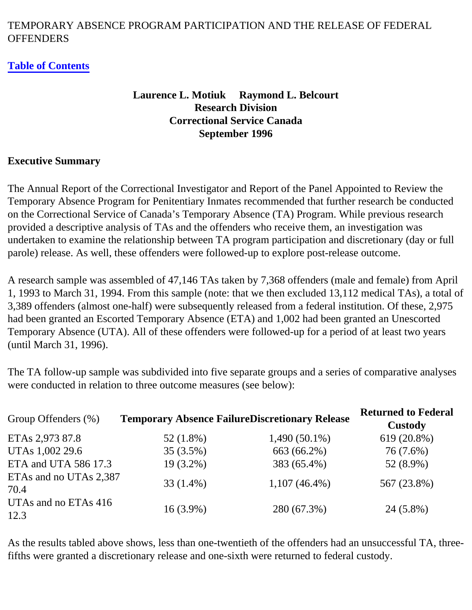### TEMPORARY ABSENCE PROGRAM PARTICIPATION AND THE RELEASE OF FEDERAL **OFFENDERS**

#### **[Table of Contents](#page-2-0)**

### **Laurence L. Motiuk Raymond L. Belcourt Research Division Correctional Service Canada September 1996**

#### <span id="page-0-0"></span>**Executive Summary**

The Annual Report of the Correctional Investigator and Report of the Panel Appointed to Review the Temporary Absence Program for Penitentiary Inmates recommended that further research be conducted on the Correctional Service of Canada's Temporary Absence (TA) Program. While previous research provided a descriptive analysis of TAs and the offenders who receive them, an investigation was undertaken to examine the relationship between TA program participation and discretionary (day or full parole) release. As well, these offenders were followed-up to explore post-release outcome.

A research sample was assembled of 47,146 TAs taken by 7,368 offenders (male and female) from April 1, 1993 to March 31, 1994. From this sample (note: that we then excluded 13,112 medical TAs), a total of 3,389 offenders (almost one-half) were subsequently released from a federal institution. Of these, 2,975 had been granted an Escorted Temporary Absence (ETA) and 1,002 had been granted an Unescorted Temporary Absence (UTA). All of these offenders were followed-up for a period of at least two years (until March 31, 1996).

The TA follow-up sample was subdivided into five separate groups and a series of comparative analyses were conducted in relation to three outcome measures (see below):

| Group Offenders (%)            | <b>Temporary Absence FailureDiscretionary Release</b> |                 | <b>Returned to Federal</b><br><b>Custody</b> |
|--------------------------------|-------------------------------------------------------|-----------------|----------------------------------------------|
| ETAs 2,973 87.8                | $52(1.8\%)$                                           | $1,490(50.1\%)$ | 619 (20.8%)                                  |
| UTAs 1,002 29.6                | $35(3.5\%)$                                           | 663 (66.2%)     | 76 (7.6%)                                    |
| ETA and UTA 586 17.3           | $19(3.2\%)$                                           | 383 (65.4%)     | 52 (8.9%)                                    |
| ETAs and no UTAs 2,387<br>70.4 | $33(1.4\%)$                                           | $1,107(46.4\%)$ | 567 (23.8%)                                  |
| UTAs and no ETAs 416<br>12.3   | $16(3.9\%)$                                           | 280 (67.3%)     | 24 (5.8%)                                    |

As the results tabled above shows, less than one-twentieth of the offenders had an unsuccessful TA, threefifths were granted a discretionary release and one-sixth were returned to federal custody.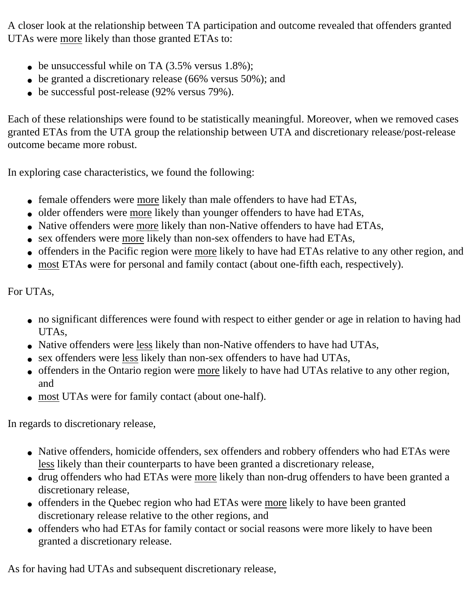A closer look at the relationship between TA participation and outcome revealed that offenders granted UTAs were more likely than those granted ETAs to:

- be unsuccessful while on TA  $(3.5\% \text{ versus } 1.8\%);$
- be granted a discretionary release (66% versus 50%); and
- be successful post-release (92% versus 79%).

Each of these relationships were found to be statistically meaningful. Moreover, when we removed cases granted ETAs from the UTA group the relationship between UTA and discretionary release/post-release outcome became more robust.

In exploring case characteristics, we found the following:

- female offenders were more likely than male offenders to have had ETAs,
- older offenders were more likely than younger offenders to have had ETAs,
- Native offenders were more likely than non-Native offenders to have had ETAs,
- sex offenders were more likely than non-sex offenders to have had ETAs,
- offenders in the Pacific region were more likely to have had ETAs relative to any other region, and
- most ETAs were for personal and family contact (about one-fifth each, respectively).

For UTAs,

- no significant differences were found with respect to either gender or age in relation to having had UTAs,
- Native offenders were less likely than non-Native offenders to have had UTAs,
- sex offenders were less likely than non-sex offenders to have had UTAs,
- offenders in the Ontario region were more likely to have had UTAs relative to any other region, and
- most UTAs were for family contact (about one-half).

In regards to discretionary release,

- Native offenders, homicide offenders, sex offenders and robbery offenders who had ETAs were less likely than their counterparts to have been granted a discretionary release,
- drug offenders who had ETAs were more likely than non-drug offenders to have been granted a discretionary release,
- offenders in the Quebec region who had ETAs were more likely to have been granted discretionary release relative to the other regions, and
- offenders who had ETAs for family contact or social reasons were more likely to have been granted a discretionary release.

As for having had UTAs and subsequent discretionary release,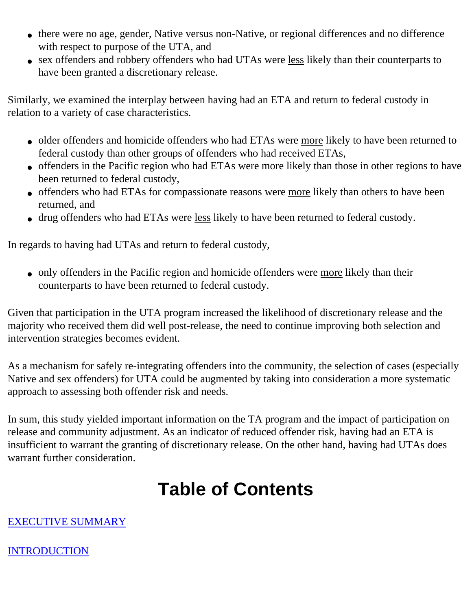- there were no age, gender, Native versus non-Native, or regional differences and no difference with respect to purpose of the UTA, and
- sex offenders and robbery offenders who had UTAs were less likely than their counterparts to have been granted a discretionary release.

Similarly, we examined the interplay between having had an ETA and return to federal custody in relation to a variety of case characteristics.

- older offenders and homicide offenders who had ETAs were more likely to have been returned to federal custody than other groups of offenders who had received ETAs,
- offenders in the Pacific region who had ETAs were more likely than those in other regions to have been returned to federal custody,
- offenders who had ETAs for compassionate reasons were more likely than others to have been returned, and
- drug offenders who had ETAs were less likely to have been returned to federal custody.

In regards to having had UTAs and return to federal custody,

• only offenders in the Pacific region and homicide offenders were more likely than their counterparts to have been returned to federal custody.

Given that participation in the UTA program increased the likelihood of discretionary release and the majority who received them did well post-release, the need to continue improving both selection and intervention strategies becomes evident.

As a mechanism for safely re-integrating offenders into the community, the selection of cases (especially Native and sex offenders) for UTA could be augmented by taking into consideration a more systematic approach to assessing both offender risk and needs.

In sum, this study yielded important information on the TA program and the impact of participation on release and community adjustment. As an indicator of reduced offender risk, having had an ETA is insufficient to warrant the granting of discretionary release. On the other hand, having had UTAs does warrant further consideration.

# **Table of Contents**

### <span id="page-2-0"></span>[EXECUTIVE SUMMARY](#page-0-0)

### [INTRODUCTION](#page-3-0)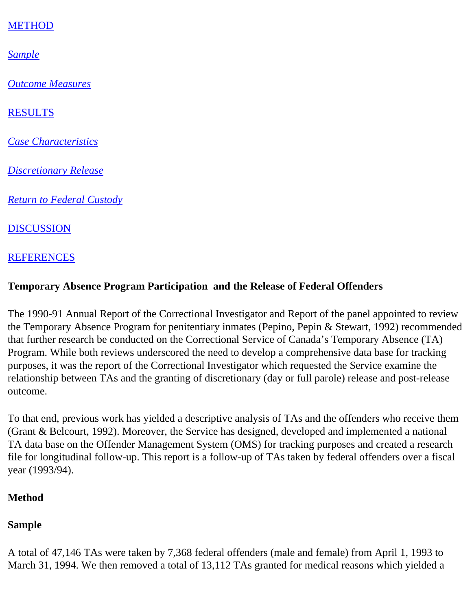### [METHOD](#page-3-1)

*[Sample](#page-3-2)*

*[Outcome Measures](#page-6-0)*

[RESULTS](#page-6-1)

*[Case Characteristics](#page-7-0)*

*[Discretionary Release](#page-7-1)*

*[Return to Federal Custody](#page-28-0)*

[DISCUSSION](#page-38-0)

### [REFERENCES](#page-39-0)

### <span id="page-3-0"></span>**Temporary Absence Program Participation and the Release of Federal Offenders**

The 1990-91 Annual Report of the Correctional Investigator and Report of the panel appointed to review the Temporary Absence Program for penitentiary inmates (Pepino, Pepin & Stewart, 1992) recommended that further research be conducted on the Correctional Service of Canada's Temporary Absence (TA) Program. While both reviews underscored the need to develop a comprehensive data base for tracking purposes, it was the report of the Correctional Investigator which requested the Service examine the relationship between TAs and the granting of discretionary (day or full parole) release and post-release outcome.

To that end, previous work has yielded a descriptive analysis of TAs and the offenders who receive them (Grant & Belcourt, 1992). Moreover, the Service has designed, developed and implemented a national TA data base on the Offender Management System (OMS) for tracking purposes and created a research file for longitudinal follow-up. This report is a follow-up of TAs taken by federal offenders over a fiscal year (1993/94).

### <span id="page-3-1"></span>**Method**

### <span id="page-3-2"></span>**Sample**

A total of 47,146 TAs were taken by 7,368 federal offenders (male and female) from April 1, 1993 to March 31, 1994. We then removed a total of 13,112 TAs granted for medical reasons which yielded a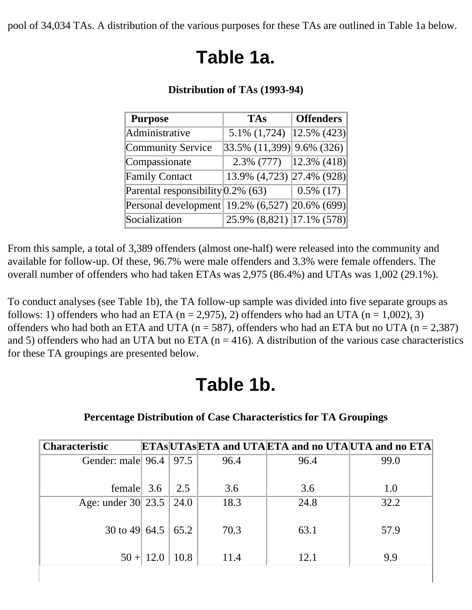pool of 34,034 TAs. A distribution of the various purposes for these TAs are outlined in Table 1a below.

# **Table 1a.**

| <b>Purpose</b>                                 | <b>TAs</b>                          | <b>Offenders</b> |
|------------------------------------------------|-------------------------------------|------------------|
| Administrative                                 | 5.1% $(1,724)$  12.5% $(423)$       |                  |
| Community Service                              | $ 33.5\% \t(11,399) 9.6\% \t(326) $ |                  |
| Compassionate                                  | $2.3\%$ (777) [12.3\% (418)]        |                  |
| <b>Family Contact</b>                          | 13.9% (4,723) 27.4% (928)           |                  |
| Parental responsibility $0.2\%$ (63)           |                                     | $0.5\%$ (17)     |
| Personal development 19.2% (6,527) 20.6% (699) |                                     |                  |
| Socialization                                  | 25.9% (8,821) 17.1% (578)           |                  |

#### **Distribution of TAs (1993-94)**

From this sample, a total of 3,389 offenders (almost one-half) were released into the community and available for follow-up. Of these, 96.7% were male offenders and 3.3% were female offenders. The overall number of offenders who had taken ETAs was 2,975 (86.4%) and UTAs was 1,002 (29.1%).

To conduct analyses (see Table 1b), the TA follow-up sample was divided into five separate groups as follows: 1) offenders who had an ETA ( $n = 2.975$ ), 2) offenders who had an UTA ( $n = 1.002$ ), 3) offenders who had both an ETA and UTA ( $n = 587$ ), offenders who had an ETA but no UTA ( $n = 2,387$ ) and 5) offenders who had an UTA but no ETA ( $n = 416$ ). A distribution of the various case characteristics for these TA groupings are presented below.

## **Table 1b.**

### **Percentage Distribution of Case Characteristics for TA Groupings**

| <b>Characteristic</b>    |             |              |      | <b>ETASUTASETA and UTAETA and no UTAUTA and no ETA</b> |      |
|--------------------------|-------------|--------------|------|--------------------------------------------------------|------|
| Gender: male 96.4   97.5 |             |              | 96.4 | 96.4                                                   | 99.0 |
|                          |             |              |      |                                                        |      |
| female $3.6$             |             | 2.5          | 3.6  | 3.6                                                    | 1.0  |
| Age: under 30 23.5       |             | $\vert$ 24.0 | 18.3 | 24.8                                                   | 32.2 |
| 30 to 49 64.5 65.2       |             |              | 70.3 | 63.1                                                   | 57.9 |
|                          | $50 + 12.0$ | 10.8         | 11.4 | 12.1                                                   | 9.9  |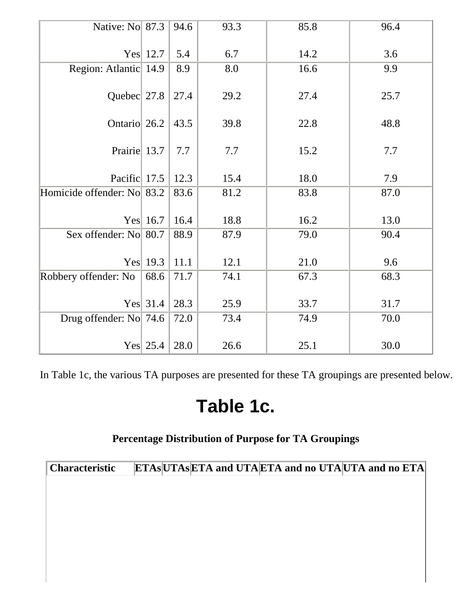| Native: No 87.3            |                  | 94.6 | 93.3 | 85.8 | 96.4 |
|----------------------------|------------------|------|------|------|------|
|                            |                  |      |      |      |      |
|                            | Yes 12.7         | 5.4  | 6.7  | 14.2 | 3.6  |
| Region: Atlantic 14.9      |                  | 8.9  | 8.0  | 16.6 | 9.9  |
| Quebec 27.8                |                  | 27.4 | 29.2 | 27.4 | 25.7 |
| Ontario 26.2               |                  | 43.5 | 39.8 | 22.8 | 48.8 |
| Prairie 13.7               |                  | 7.7  | 7.7  | 15.2 | 7.7  |
| Pacific 17.5               |                  | 12.3 | 15.4 | 18.0 | 7.9  |
| Homicide offender: No 83.2 |                  | 83.6 | 81.2 | 83.8 | 87.0 |
|                            | Yes 16.7         | 16.4 | 18.8 | 16.2 | 13.0 |
| Sex offender: No 80.7      |                  | 88.9 | 87.9 | 79.0 | 90.4 |
|                            |                  |      |      |      |      |
|                            | Yes $\vert$ 19.3 | 11.1 | 12.1 | 21.0 | 9.6  |
| Robbery offender: No       | 68.6             | 71.7 | 74.1 | 67.3 | 68.3 |
|                            | Yes $31.4$       | 28.3 | 25.9 | 33.7 | 31.7 |
| Drug offender: No 74.6     |                  | 72.0 | 73.4 | 74.9 | 70.0 |
|                            | Yes $25.4$       | 28.0 | 26.6 | 25.1 | 30.0 |

In Table 1c, the various TA purposes are presented for these TA groupings are presented below.

### **Table 1c.**

### **Percentage Distribution of Purpose for TA Groupings**

| <b>Characteristic</b> | <b>ETASUTASETA and UTAETA and no UTAUTA and no ETA</b> |
|-----------------------|--------------------------------------------------------|
|                       |                                                        |
|                       |                                                        |
|                       |                                                        |
|                       |                                                        |
|                       |                                                        |
|                       |                                                        |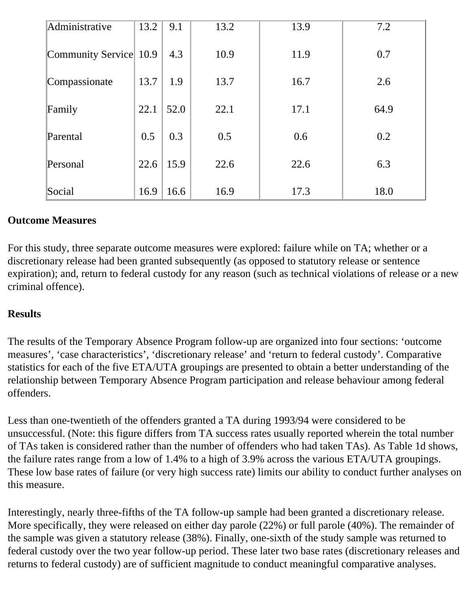| Administrative         | 13.2 | 9.1  | 13.2 | 13.9 | 7.2  |
|------------------------|------|------|------|------|------|
| Community Service 10.9 |      | 4.3  | 10.9 | 11.9 | 0.7  |
| Compassionate          | 13.7 | 1.9  | 13.7 | 16.7 | 2.6  |
| Family                 | 22.1 | 52.0 | 22.1 | 17.1 | 64.9 |
| Parental               | 0.5  | 0.3  | 0.5  | 0.6  | 0.2  |
| Personal               | 22.6 | 15.9 | 22.6 | 22.6 | 6.3  |
| Social                 | 16.9 | 16.6 | 16.9 | 17.3 | 18.0 |

### <span id="page-6-0"></span>**Outcome Measures**

For this study, three separate outcome measures were explored: failure while on TA; whether or a discretionary release had been granted subsequently (as opposed to statutory release or sentence expiration); and, return to federal custody for any reason (such as technical violations of release or a new criminal offence).

#### <span id="page-6-1"></span>**Results**

The results of the Temporary Absence Program follow-up are organized into four sections: 'outcome measures', 'case characteristics', 'discretionary release' and 'return to federal custody'. Comparative statistics for each of the five ETA/UTA groupings are presented to obtain a better understanding of the relationship between Temporary Absence Program participation and release behaviour among federal offenders.

Less than one-twentieth of the offenders granted a TA during 1993/94 were considered to be unsuccessful. (Note: this figure differs from TA success rates usually reported wherein the total number of TAs taken is considered rather than the number of offenders who had taken TAs). As Table 1d shows, the failure rates range from a low of 1.4% to a high of 3.9% across the various ETA/UTA groupings. These low base rates of failure (or very high success rate) limits our ability to conduct further analyses on this measure.

Interestingly, nearly three-fifths of the TA follow-up sample had been granted a discretionary release. More specifically, they were released on either day parole (22%) or full parole (40%). The remainder of the sample was given a statutory release (38%). Finally, one-sixth of the study sample was returned to federal custody over the two year follow-up period. These later two base rates (discretionary releases and returns to federal custody) are of sufficient magnitude to conduct meaningful comparative analyses.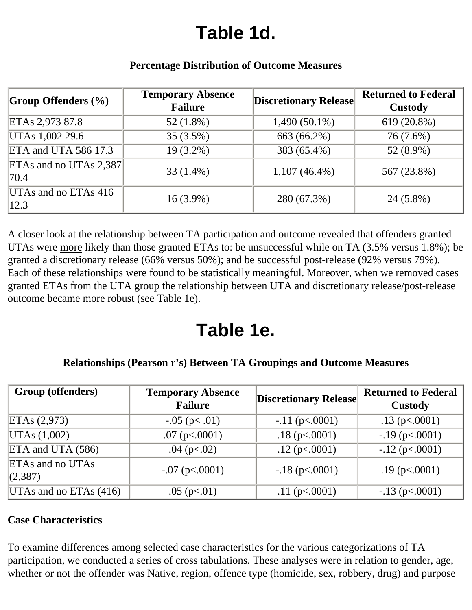# **Table 1d.**

<span id="page-7-1"></span>

| Group Offenders $(\% )$          | <b>Temporary Absence</b><br><b>Failure</b> | <b>Discretionary Release</b> | <b>Returned to Federal</b><br><b>Custody</b> |
|----------------------------------|--------------------------------------------|------------------------------|----------------------------------------------|
| ETAs 2,973 87.8                  | $52(1.8\%)$                                | $1,490(50.1\%)$              | 619 (20.8%)                                  |
| UTAs 1,002 29.6                  | $35(3.5\%)$                                | 663 (66.2%)                  | 76 (7.6%)                                    |
| ETA and UTA 586 17.3             | $19(3.2\%)$                                | 383 (65.4%)                  | 52 (8.9%)                                    |
| ETAs and no UTAs $2,387$<br>70.4 | $33(1.4\%)$                                | $1,107(46.4\%)$              | 567 (23.8%)                                  |
| UTAs and no ETAs $416$<br> 12.3  | $16(3.9\%)$                                | 280 (67.3%)                  | 24 (5.8%)                                    |

### **Percentage Distribution of Outcome Measures**

A closer look at the relationship between TA participation and outcome revealed that offenders granted UTAs were more likely than those granted ETAs to: be unsuccessful while on TA (3.5% versus 1.8%); be granted a discretionary release (66% versus 50%); and be successful post-release (92% versus 79%). Each of these relationships were found to be statistically meaningful. Moreover, when we removed cases granted ETAs from the UTA group the relationship between UTA and discretionary release/post-release outcome became more robust (see Table 1e).

## **Table 1e.**

### **Relationships (Pearson r's) Between TA Groupings and Outcome Measures**

| Group (offenders)           | <b>Temporary Absence</b><br><b>Failure</b> | <b>Discretionary Release</b> | <b>Returned to Federal</b><br>Custody |
|-----------------------------|--------------------------------------------|------------------------------|---------------------------------------|
| ETAs (2,973)                | $-0.05$ (p $< 0.01$ )                      | $-.11$ (p $< .0001$ )        | $.13$ (p $< .0001$ )                  |
| UTAs (1,002)                | $.07$ (p $< .0001$ )                       | $.18$ (p $< .0001$ )         | $-.19$ (p $< .0001$ )                 |
| ETA and UTA (586)           | .04 ( $p<.02$ )                            | $.12$ (p $< .0001$ )         | $-.12$ (p $< .0001$ )                 |
| ETAs and no UTAs<br>(2,387) | $-.07$ (p $< .0001$ )                      | $-.18$ (p $< .0001$ )        | $.19$ (p $< .0001$ )                  |
| UTAs and no ETAs $(416)$    | $.05$ (p $< 01$ )                          | $.11$ (p $< .0001$ )         | $-.13$ (p $< .0001$ )                 |

### <span id="page-7-0"></span>**Case Characteristics**

To examine differences among selected case characteristics for the various categorizations of TA participation, we conducted a series of cross tabulations. These analyses were in relation to gender, age, whether or not the offender was Native, region, offence type (homicide, sex, robbery, drug) and purpose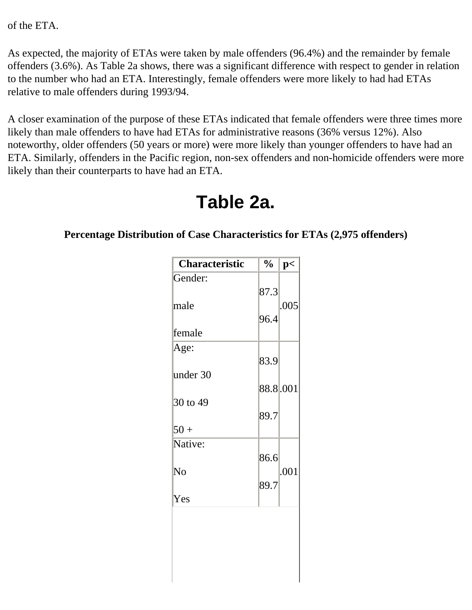of the ETA.

As expected, the majority of ETAs were taken by male offenders (96.4%) and the remainder by female offenders (3.6%). As Table 2a shows, there was a significant difference with respect to gender in relation to the number who had an ETA. Interestingly, female offenders were more likely to had had ETAs relative to male offenders during 1993/94.

A closer examination of the purpose of these ETAs indicated that female offenders were three times more likely than male offenders to have had ETAs for administrative reasons (36% versus 12%). Also noteworthy, older offenders (50 years or more) were more likely than younger offenders to have had an ETA. Similarly, offenders in the Pacific region, non-sex offenders and non-homicide offenders were more likely than their counterparts to have had an ETA.

| <b>Characteristic</b> | $\frac{1}{2}$ | p<   |
|-----------------------|---------------|------|
| Gender:               | 87.3          |      |
| male                  | 96.4          | .005 |
| female                |               |      |
| Age:                  | 83.9          |      |
| under 30              | 88.8.001      |      |
| 30 to 49              | 89.7          |      |
| $50 +$                |               |      |
| Native:               | 86.6          |      |
| No                    | 89.7          | .001 |
| Yes                   |               |      |
|                       |               |      |
|                       |               |      |
|                       |               |      |
|                       |               |      |

### **Table 2a.**

#### **Percentage Distribution of Case Characteristics for ETAs (2,975 offenders)**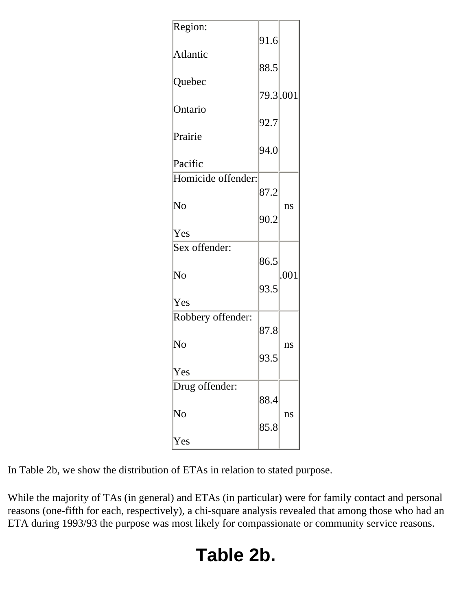| Region:                | 91.6      |      |
|------------------------|-----------|------|
| Atlantic               |           |      |
|                        | 88.5      |      |
| Quebec                 |           |      |
|                        | 79.3 .001 |      |
| Ontario                |           |      |
|                        | 92.7      |      |
| Prairie                |           |      |
|                        | 94.0      |      |
| Pacific                |           |      |
| Homicide offender:     |           |      |
|                        | 87.2      |      |
| $\rm No$               |           | ns   |
|                        | 90.2      |      |
| Yes                    |           |      |
| Sex offender:          |           |      |
|                        | 86.5      |      |
| $\rm No$               |           | .001 |
|                        | 93.5      |      |
|                        |           |      |
| Yes                    |           |      |
| Robbery offender:      |           |      |
|                        | 87.8      |      |
| No                     |           | ns   |
|                        | 93.5      |      |
| Yes                    |           |      |
| Drug offender:         |           |      |
|                        | 88.4      |      |
| $\overline{\text{No}}$ |           | ns   |
|                        | 85.8      |      |
| Yes                    |           |      |

In Table 2b, we show the distribution of ETAs in relation to stated purpose.

While the majority of TAs (in general) and ETAs (in particular) were for family contact and personal reasons (one-fifth for each, respectively), a chi-square analysis revealed that among those who had an ETA during 1993/93 the purpose was most likely for compassionate or community service reasons.

# **Table 2b.**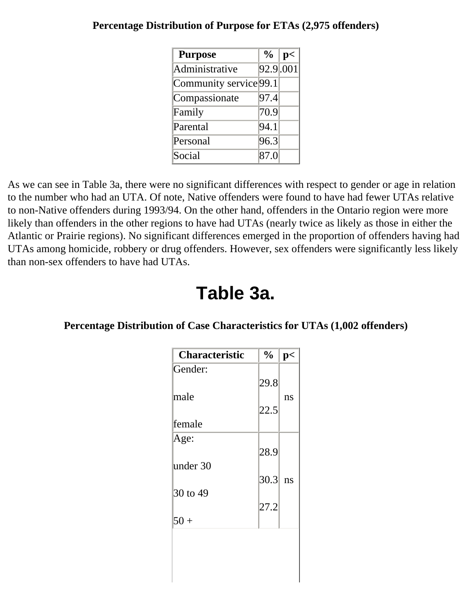| <b>Purpose</b>         | $\frac{0}{0}$ | p<       |
|------------------------|---------------|----------|
| Administrative         |               | 92.9 001 |
| Community service 99.1 |               |          |
| Compassionate          | 97.4          |          |
| Family                 | 70.9          |          |
| Parental               | 94.1          |          |
| Personal               | 96.3          |          |
| Social                 | 87.0          |          |

#### **Percentage Distribution of Purpose for ETAs (2,975 offenders)**

As we can see in Table 3a, there were no significant differences with respect to gender or age in relation to the number who had an UTA. Of note, Native offenders were found to have had fewer UTAs relative to non-Native offenders during 1993/94. On the other hand, offenders in the Ontario region were more likely than offenders in the other regions to have had UTAs (nearly twice as likely as those in either the Atlantic or Prairie regions). No significant differences emerged in the proportion of offenders having had UTAs among homicide, robbery or drug offenders. However, sex offenders were significantly less likely than non-sex offenders to have had UTAs.

### **Table 3a.**

#### **Percentage Distribution of Case Characteristics for UTAs (1,002 offenders)**

| <b>Characteristic</b> | $\frac{1}{2}$ | p< |
|-----------------------|---------------|----|
| Gender:               |               |    |
|                       | 29.8          |    |
| male                  |               | ns |
|                       | 22.5          |    |
| lfemale               |               |    |
| Age:                  |               |    |
|                       | 28.9          |    |
| under 30              |               |    |
|                       | 30.3          | ns |
| 30 to 49              |               |    |
|                       | 27.2          |    |
| $50 +$                |               |    |
|                       |               |    |
|                       |               |    |
|                       |               |    |
|                       |               |    |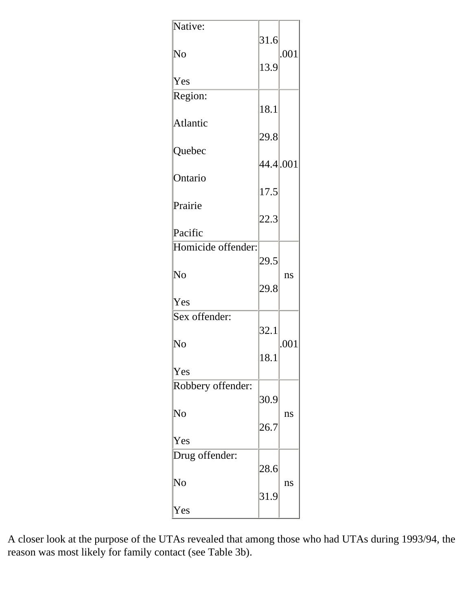| Native:            |           |      |
|--------------------|-----------|------|
| No                 | 31.6      | .001 |
|                    | 13.9      |      |
| Yes                |           |      |
| Region:            | 18.1      |      |
| Atlantic           |           |      |
|                    | 29.8      |      |
| Quebec             |           |      |
|                    | 44.4 .001 |      |
| Ontario            | 17.5      |      |
| Prairie            |           |      |
|                    | 22.3      |      |
| Pacific            |           |      |
| Homicide offender: |           |      |
|                    | 29.5      |      |
| No                 |           | ns   |
|                    | 29.8      |      |
| Yes                |           |      |
|                    |           |      |
| Sex offender:      |           |      |
|                    | 32.1      |      |
| No                 |           | .001 |
|                    | 18.1      |      |
| Yes                |           |      |
| Robbery offender:  |           |      |
|                    | 30.9      |      |
| $\rm No$           |           | ns   |
|                    | 26.7      |      |
| Yes                |           |      |
| Drug offender:     |           |      |
|                    | 28.6      |      |
| $\rm No$           |           | ns   |
|                    | 31.9      |      |
| Yes                |           |      |
|                    |           |      |

A closer look at the purpose of the UTAs revealed that among those who had UTAs during 1993/94, the reason was most likely for family contact (see Table 3b).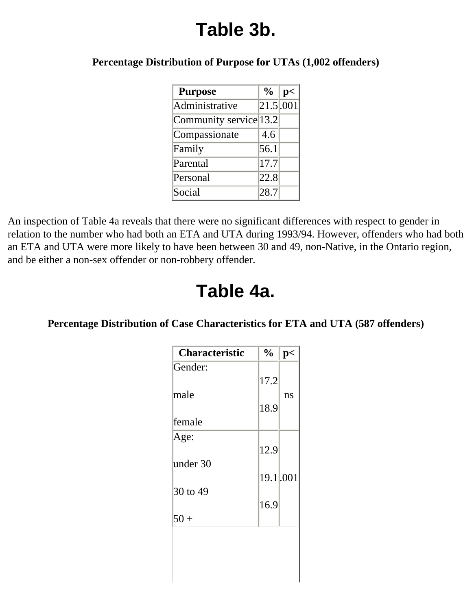# **Table 3b.**

**Percentage Distribution of Purpose for UTAs (1,002 offenders)** 

| <b>Purpose</b>         | $\frac{6}{10}$ | p<                     |
|------------------------|----------------|------------------------|
| Administrative         |                | $21.5 \overline{.001}$ |
| Community service 13.2 |                |                        |
| Compassionate          | 4.6            |                        |
| Family                 | 56.1           |                        |
| Parental               | 17.7           |                        |
| Personal               | 22.8           |                        |
| Social                 | 28.7           |                        |

An inspection of Table 4a reveals that there were no significant differences with respect to gender in relation to the number who had both an ETA and UTA during 1993/94. However, offenders who had both an ETA and UTA were more likely to have been between 30 and 49, non-Native, in the Ontario region, and be either a non-sex offender or non-robbery offender.

### **Table 4a.**

#### **Percentage Distribution of Case Characteristics for ETA and UTA (587 offenders)**

| <b>Characteristic</b> | $\frac{6}{10}$ | p< |
|-----------------------|----------------|----|
| Gender:               |                |    |
|                       | 17.2           |    |
| lmale                 |                | ns |
|                       | 18.9           |    |
| lfemale               |                |    |
| Age:                  |                |    |
|                       | 12.9           |    |
| under 30              |                |    |
|                       | 19.1.001       |    |
| 30 to 49              |                |    |
|                       | 16.9           |    |
| $50 +$                |                |    |
|                       |                |    |
|                       |                |    |
|                       |                |    |
|                       |                |    |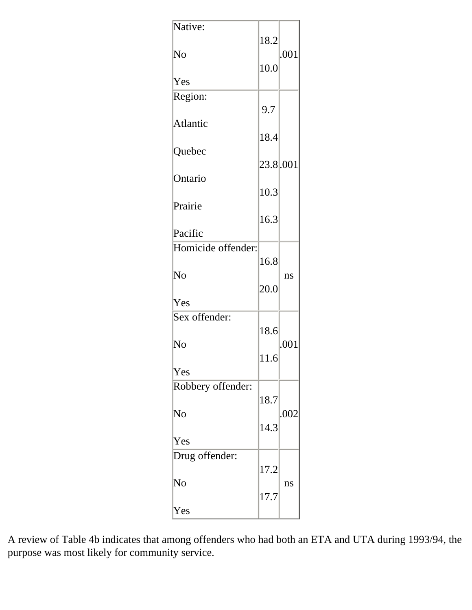| Native:            | 18.2     |      |
|--------------------|----------|------|
| No                 |          | .001 |
| Yes                | 10.0     |      |
|                    |          |      |
| Region:            | 9.7      |      |
| Atlantic           |          |      |
| Quebec             | 18.4     |      |
|                    | 23.8.001 |      |
| Ontario            | 10.3     |      |
| Prairie            |          |      |
| Pacific            | 16.3     |      |
|                    |          |      |
| Homicide offender: | 16.8     |      |
| No                 |          | ns   |
| Yes                | 20.0     |      |
|                    |          |      |
| Sex offender:      | 18.6     |      |
| No                 |          | .001 |
| Yes                | 11.6     |      |
|                    |          |      |
| Robbery offender:  | 18.7     |      |
| $\rm No$           | 14.3     | .002 |
| Yes                |          |      |
| Drug offender:     |          |      |
|                    | 17.2     |      |
| No                 | 17.7     | ns   |
| Yes                |          |      |

A review of Table 4b indicates that among offenders who had both an ETA and UTA during 1993/94, the purpose was most likely for community service.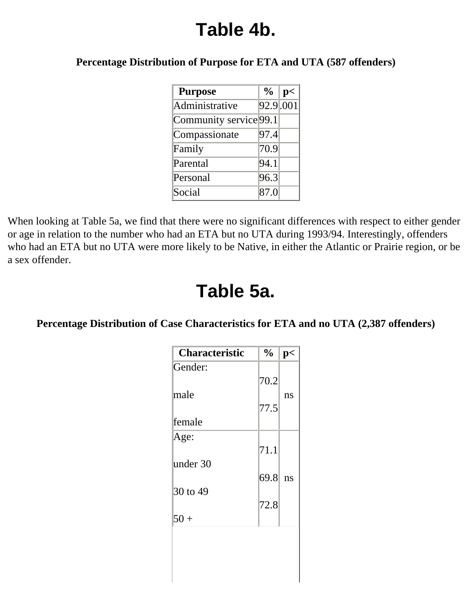## **Table 4b.**

#### **Percentage Distribution of Purpose for ETA and UTA (587 offenders)**

| <b>Purpose</b>         | $\frac{0}{0}$ | p<                      |
|------------------------|---------------|-------------------------|
| Administrative         |               | $92.9 \overline{0.001}$ |
| Community service 99.1 |               |                         |
| Compassionate          | 97.4          |                         |
| Family                 | 70.9          |                         |
| Parental               | 94.1          |                         |
| Personal               | 96.3          |                         |
| Social                 | 87.0          |                         |

When looking at Table 5a, we find that there were no significant differences with respect to either gender or age in relation to the number who had an ETA but no UTA during 1993/94. Interestingly, offenders who had an ETA but no UTA were more likely to be Native, in either the Atlantic or Prairie region, or be a sex offender.

### **Table 5a.**

#### **Percentage Distribution of Case Characteristics for ETA and no UTA (2,387 offenders)**

| <b>Characteristic</b> | $\frac{1}{2}$ | p< |
|-----------------------|---------------|----|
| Gender:               |               |    |
|                       | 70.2          |    |
| lmale                 |               | ns |
|                       | 77.5          |    |
| lfemale               |               |    |
| Age:                  |               |    |
|                       | 71.1          |    |
| under 30              | 69.8          | ns |
| 30 to 49              |               |    |
|                       | 72.8          |    |
| $50 +$                |               |    |
|                       |               |    |
|                       |               |    |
|                       |               |    |
|                       |               |    |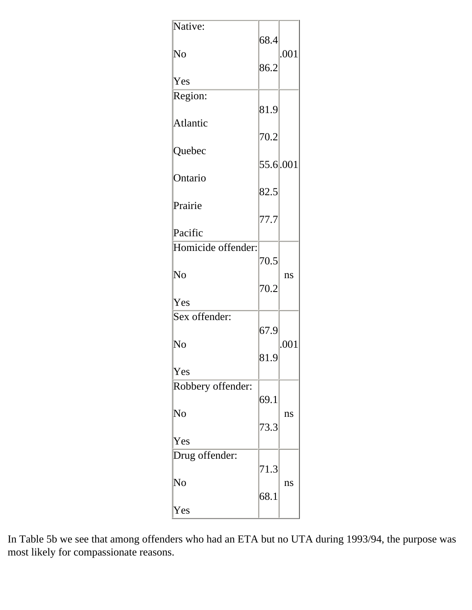| Native:            | 68.4     |      |
|--------------------|----------|------|
| No                 |          | .001 |
|                    | 86.2     |      |
| Yes                |          |      |
| Region:            | 81.9     |      |
| Atlantic           |          |      |
|                    | 70.2     |      |
| Quebec             | 55.6.001 |      |
|                    |          |      |
| Ontario            | 82.5     |      |
| Prairie            |          |      |
|                    | 77.7     |      |
| Pacific            |          |      |
| Homicide offender: |          |      |
|                    | 70.5     |      |
| No                 |          |      |
|                    |          | ns   |
|                    | 70.2     |      |
| Yes                |          |      |
| Sex offender:      |          |      |
|                    | 67.9     |      |
| No                 |          | .001 |
|                    | 81.9     |      |
| Yes                |          |      |
| Robbery offender:  |          |      |
|                    | 69.1     |      |
|                    |          |      |
| $\rm No$           |          | ns   |
|                    | 73.3     |      |
| Yes                |          |      |
| Drug offender:     |          |      |
|                    | 71.3     |      |
| No                 |          | ns   |
|                    | 68.1     |      |
|                    |          |      |
| Yes                |          |      |

In Table 5b we see that among offenders who had an ETA but no UTA during 1993/94, the purpose was most likely for compassionate reasons.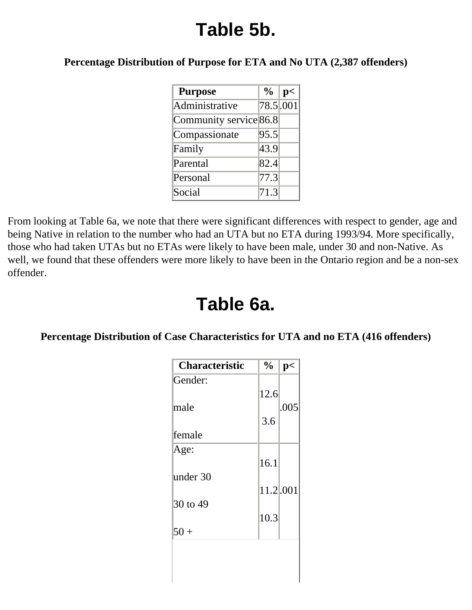# **Table 5b.**

**Percentage Distribution of Purpose for ETA and No UTA (2,387 offenders)** 

| <b>Purpose</b>         | $\frac{0}{0}$ | p<       |
|------------------------|---------------|----------|
| Administrative         |               | 78.5 001 |
| Community service 86.8 |               |          |
| Compassionate          | 95.5          |          |
| Family                 | 43.9          |          |
| Parental               | 82.4          |          |
| Personal               | 77.3          |          |
| Social                 | 71.3          |          |

From looking at Table 6a, we note that there were significant differences with respect to gender, age and being Native in relation to the number who had an UTA but no ETA during 1993/94. More specifically, those who had taken UTAs but no ETAs were likely to have been male, under 30 and non-Native. As well, we found that these offenders were more likely to have been in the Ontario region and be a non-sex offender.

## **Table 6a.**

### **Percentage Distribution of Case Characteristics for UTA and no ETA (416 offenders)**

| <b>Characteristic</b> | $\frac{1}{2}$ | p<   |
|-----------------------|---------------|------|
| Gender:               |               |      |
|                       | 12.6          |      |
| lmale                 |               | .005 |
|                       | 3.6           |      |
| lfemale               |               |      |
| Age:                  |               |      |
|                       | 16.1          |      |
| under 30              |               |      |
|                       | 11.2.001      |      |
| 30 to 49              |               |      |
|                       | 10.3          |      |
| $50+$                 |               |      |
|                       |               |      |
|                       |               |      |
|                       |               |      |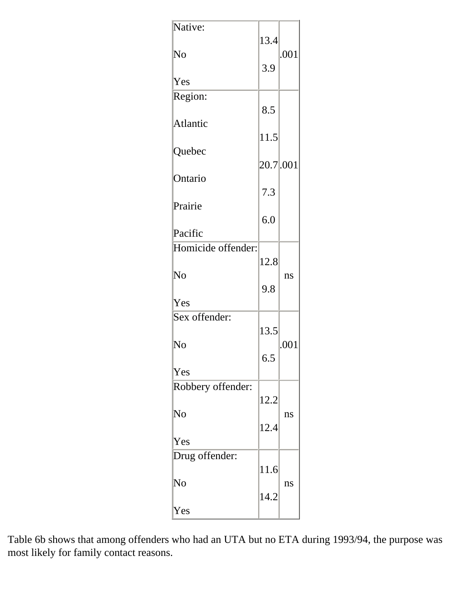| Native:            | 13.4      |      |
|--------------------|-----------|------|
| $\rm No$           |           | .001 |
|                    | 3.9       |      |
| Yes                |           |      |
| Region:            | 8.5       |      |
| Atlantic           |           |      |
|                    | 11.5      |      |
| Quebec             |           |      |
|                    | 20.7 .001 |      |
| Ontario            | 7.3       |      |
| Prairie            |           |      |
|                    | 6.0       |      |
| Pacific            |           |      |
| Homicide offender: |           |      |
|                    | 12.8      |      |
|                    |           |      |
| No                 |           | ns   |
|                    | 9.8       |      |
| Yes                |           |      |
| Sex offender:      |           |      |
|                    | 13.5      |      |
| No                 |           | .001 |
|                    | 6.5       |      |
| Yes                |           |      |
|                    |           |      |
| Robbery offender:  |           |      |
|                    | 12.2      |      |
| $\rm No$           |           | ns   |
|                    | 12.4      |      |
| Yes                |           |      |
| Drug offender:     |           |      |
|                    | 11.6      |      |
| No                 |           | ns   |
|                    | 14.2      |      |
| Yes                |           |      |
|                    |           |      |

Table 6b shows that among offenders who had an UTA but no ETA during 1993/94, the purpose was most likely for family contact reasons.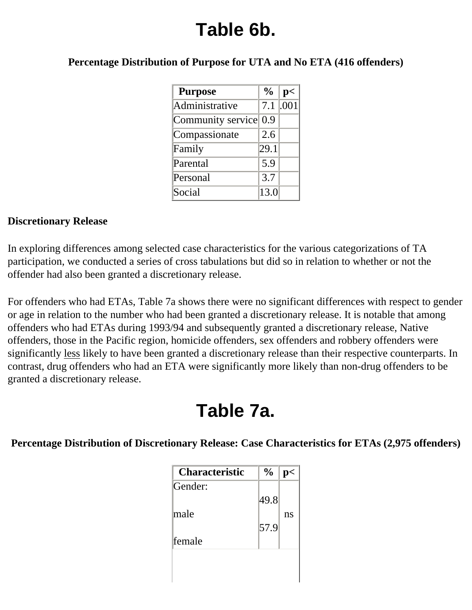# **Table 6b.**

**Percentage Distribution of Purpose for UTA and No ETA (416 offenders)** 

| <b>Purpose</b>        | $\frac{6}{6}$ | p<         |
|-----------------------|---------------|------------|
| Administrative        |               | $7.1$ .001 |
| Community service 0.9 |               |            |
| Compassionate         | 2.6           |            |
| Family                | 29.1          |            |
| Parental              | 5.9           |            |
| Personal              | 3.7           |            |
| Social                | 13.0          |            |

#### **Discretionary Release**

In exploring differences among selected case characteristics for the various categorizations of TA participation, we conducted a series of cross tabulations but did so in relation to whether or not the offender had also been granted a discretionary release.

For offenders who had ETAs, Table 7a shows there were no significant differences with respect to gender or age in relation to the number who had been granted a discretionary release. It is notable that among offenders who had ETAs during 1993/94 and subsequently granted a discretionary release, Native offenders, those in the Pacific region, homicide offenders, sex offenders and robbery offenders were significantly less likely to have been granted a discretionary release than their respective counterparts. In contrast, drug offenders who had an ETA were significantly more likely than non-drug offenders to be granted a discretionary release.

## **Table 7a.**

**Percentage Distribution of Discretionary Release: Case Characteristics for ETAs (2,975 offenders)** 

| $\frac{0}{0}$ |              |
|---------------|--------------|
|               |              |
|               |              |
|               | ns           |
|               |              |
|               |              |
|               |              |
|               |              |
|               | 49.8<br>57.9 |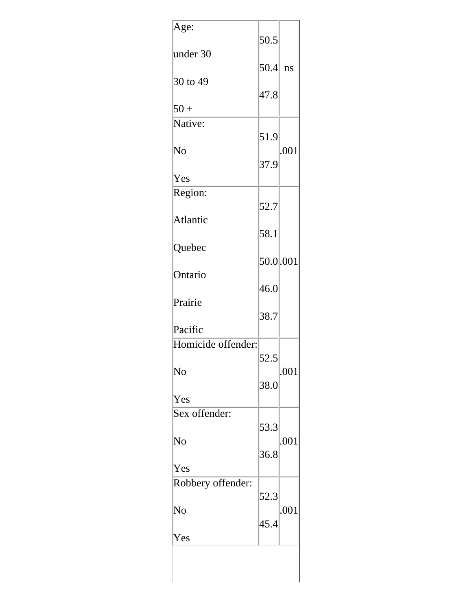| Age:               | 50.5      |      |
|--------------------|-----------|------|
| under 30           | $50.4$ ns |      |
| 30 to 49           | 47.8      |      |
| $50 +$             |           |      |
| Native:            |           |      |
| $\rm No$           | 51.9      | .001 |
|                    | 37.9      |      |
| Yes                |           |      |
| Region:            | 52.7      |      |
| Atlantic           |           |      |
|                    | 58.1      |      |
| Quebec             |           |      |
| Ontario            | 50.0.001  |      |
|                    | 46.0      |      |
| Prairie            |           |      |
| Pacific            | 38.7      |      |
| Homicide offender: |           |      |
|                    | 52.5      |      |
| No                 |           | .001 |
| Yes                | 38.0      |      |
| Sex offender:      |           |      |
|                    | 53.3      |      |
| No                 | 36.8      | .001 |
| Yes                |           |      |
| Robbery offender:  |           |      |
|                    | 52.3      |      |
| No                 | 45.4      | .001 |
| Yes                |           |      |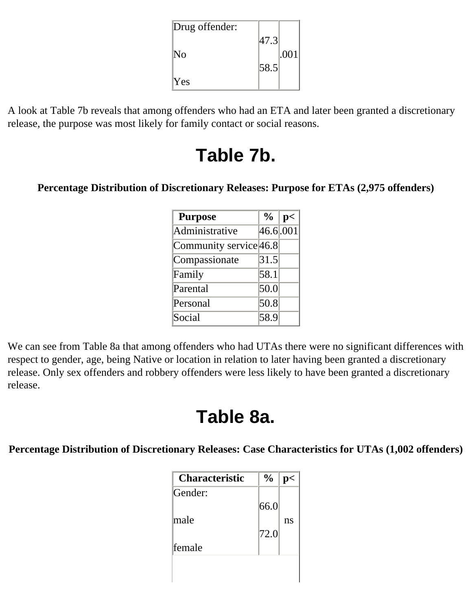| Drug offender: |      |      |
|----------------|------|------|
|                | 47.3 |      |
| No             |      | .001 |
|                | 58.5 |      |
| <b>Yes</b>     |      |      |

A look at Table 7b reveals that among offenders who had an ETA and later been granted a discretionary release, the purpose was most likely for family contact or social reasons.

## **Table 7b.**

#### **Percentage Distribution of Discretionary Releases: Purpose for ETAs (2,975 offenders)**

| <b>Purpose</b>         | $\frac{0}{0}$ | p< |
|------------------------|---------------|----|
| Administrative         | 46.6 001      |    |
| Community service 46.8 |               |    |
| Compassionate          | 31.5          |    |
| Family                 | 58.1          |    |
| Parental               | 50.0          |    |
| Personal               | 50.8          |    |
| Social                 | 58.9          |    |

We can see from Table 8a that among offenders who had UTAs there were no significant differences with respect to gender, age, being Native or location in relation to later having been granted a discretionary release. Only sex offenders and robbery offenders were less likely to have been granted a discretionary release.

## **Table 8a.**

#### **Percentage Distribution of Discretionary Releases: Case Characteristics for UTAs (1,002 offenders)**

| <b>Characteristic</b> | $\frac{0}{0}$ |    |
|-----------------------|---------------|----|
| Gender:               |               |    |
|                       | 66.0          |    |
| lmale                 |               | ns |
|                       | 72.0          |    |
| lfemale               |               |    |
|                       |               |    |
|                       |               |    |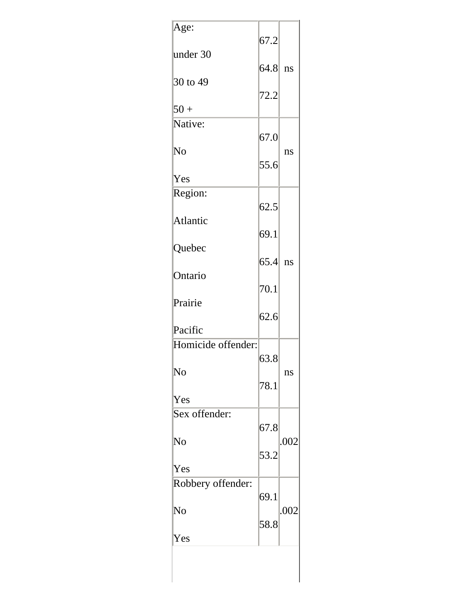| Age:               | 67.2      |      |
|--------------------|-----------|------|
| under 30           |           |      |
| 30 to 49           | $64.8$ ns |      |
|                    | 72.2      |      |
| $50 +$             |           |      |
| Native:            | 67.0      |      |
| No                 |           | ns   |
| Yes                | 55.6      |      |
|                    |           |      |
| Region:            | 62.5      |      |
| Atlantic           |           |      |
| Quebec             | 69.1      |      |
|                    | $65.4$ ns |      |
| Ontario            | 70.1      |      |
| Prairie            |           |      |
|                    | 62.6      |      |
| Pacific            |           |      |
| Homicide offender: | 63.8      |      |
| No                 |           | ns   |
|                    | 78.1      |      |
| Yes                |           |      |
| Sex offender:      | 67.8      |      |
| No                 |           | .002 |
|                    | 53.2      |      |
| Yes                |           |      |
| Robbery offender:  | 69.1      |      |
| No                 |           | .002 |
|                    | 58.8      |      |
| Yes                |           |      |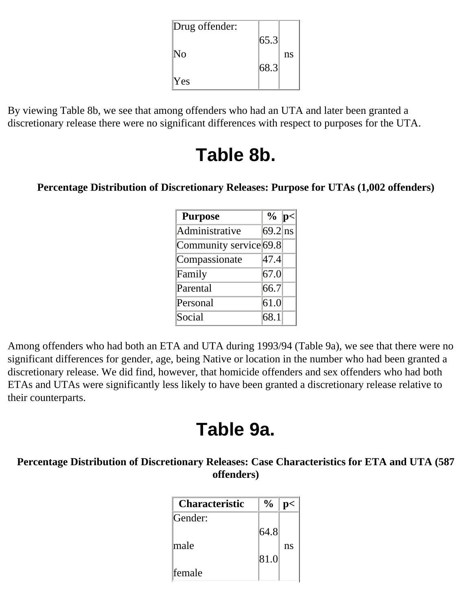| Drug offender: |      |    |
|----------------|------|----|
|                | 65.3 |    |
| No             |      | ns |
|                | 68.3 |    |
| <b>Yes</b>     |      |    |

By viewing Table 8b, we see that among offenders who had an UTA and later been granted a discretionary release there were no significant differences with respect to purposes for the UTA.

### **Table 8b.**

#### **Percentage Distribution of Discretionary Releases: Purpose for UTAs (1,002 offenders)**

| <b>Purpose</b>         | $\%$ p<   |  |
|------------------------|-----------|--|
| Administrative         | $69.2$ ns |  |
| Community service 69.8 |           |  |
| Compassionate          | 47.4      |  |
| Family                 | 67.0      |  |
| Parental               | 66.7      |  |
| Personal               | 61.0      |  |
| Social                 | 68.1      |  |

Among offenders who had both an ETA and UTA during 1993/94 (Table 9a), we see that there were no significant differences for gender, age, being Native or location in the number who had been granted a discretionary release. We did find, however, that homicide offenders and sex offenders who had both ETAs and UTAs were significantly less likely to have been granted a discretionary release relative to their counterparts.

## **Table 9a.**

### **Percentage Distribution of Discretionary Releases: Case Characteristics for ETA and UTA (587 offenders)**

| <b>Characteristic</b> | $\frac{0}{0}$ | n< |
|-----------------------|---------------|----|
| Gender:               |               |    |
|                       | 64.8          |    |
| lmale                 |               | ns |
|                       | 81.0          |    |
| lfemale               |               |    |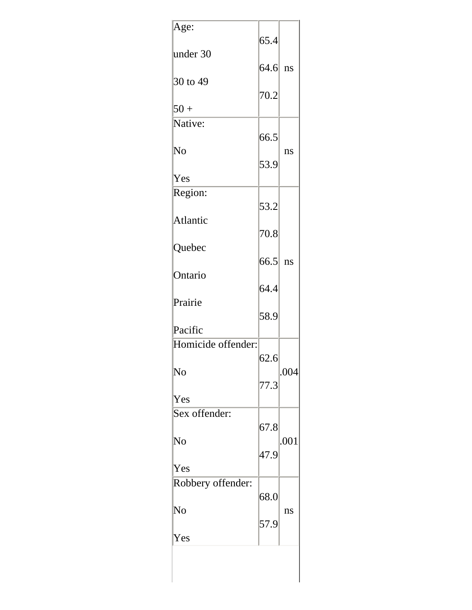| Age:               | 65.4      |      |
|--------------------|-----------|------|
| under 30           |           |      |
| 30 to 49           | $64.6$ ns |      |
| $50 +$             | 70.2      |      |
| Native:            |           |      |
|                    | 66.5      |      |
| No                 | 53.9      | ns   |
| Yes                |           |      |
| Region:            |           |      |
|                    | 53.2      |      |
| Atlantic           |           |      |
|                    | 70.8      |      |
| Quebec             |           |      |
| Ontario            | 66.5      | ns   |
|                    | 64.4      |      |
| Prairie            |           |      |
|                    | 58.9      |      |
| Pacific            |           |      |
| Homicide offender: |           |      |
|                    | 62.6      |      |
| No                 |           | .004 |
| Yes                | 77.3      |      |
| Sex offender:      |           |      |
|                    | 67.8      |      |
| No                 |           | .001 |
|                    | 47.9      |      |
| Yes                |           |      |
| Robbery offender:  |           |      |
| No                 | 68.0      |      |
|                    | 57.9      | ns   |
| Yes                |           |      |
|                    |           |      |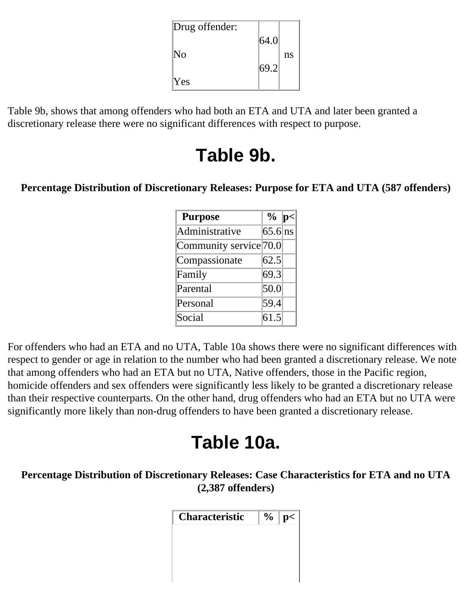| Drug offender: |      |    |
|----------------|------|----|
|                | 64.0 |    |
| $\mathbb{N}_0$ |      | ns |
|                | 69.2 |    |
| <b>Yes</b>     |      |    |

Table 9b, shows that among offenders who had both an ETA and UTA and later been granted a discretionary release there were no significant differences with respect to purpose.

## **Table 9b.**

### **Percentage Distribution of Discretionary Releases: Purpose for ETA and UTA (587 offenders)**

| <b>Purpose</b>                      | $\%$ p<   |  |
|-------------------------------------|-----------|--|
| Administrative                      | $65.6$ ns |  |
| Community service <sup>[70.0]</sup> |           |  |
| Compassionate                       | 62.5      |  |
| Family                              | 69.3      |  |
| Parental                            | 50.0      |  |
| Personal                            | 59.4      |  |
| Social                              | 61.5      |  |

For offenders who had an ETA and no UTA, Table 10a shows there were no significant differences with respect to gender or age in relation to the number who had been granted a discretionary release. We note that among offenders who had an ETA but no UTA, Native offenders, those in the Pacific region, homicide offenders and sex offenders were significantly less likely to be granted a discretionary release than their respective counterparts. On the other hand, drug offenders who had an ETA but no UTA were significantly more likely than non-drug offenders to have been granted a discretionary release.

## **Table 10a.**

**Percentage Distribution of Discretionary Releases: Case Characteristics for ETA and no UTA (2,387 offenders)** 

| <b>Characteristic</b> | $\%$   p< |
|-----------------------|-----------|
|                       |           |
|                       |           |
|                       |           |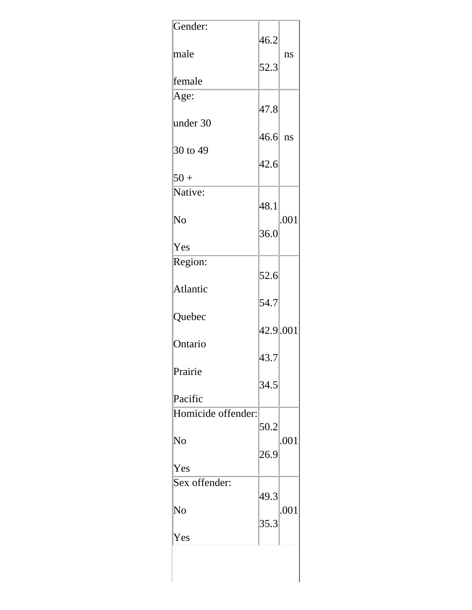| Gender:                       | 46.2               |      |
|-------------------------------|--------------------|------|
| male                          |                    | ns   |
| female                        | 52.3               |      |
|                               |                    |      |
| Age:                          | $\vert 47.8 \vert$ |      |
| under 30                      |                    |      |
| 30 to 49                      | 46.6 ns            |      |
|                               | 42.6               |      |
| $50+$                         |                    |      |
| Native:                       |                    |      |
| $\rm No$                      | 48.1               | .001 |
|                               | 36.0               |      |
| Yes                           |                    |      |
| Region:                       |                    |      |
| Atlantic                      | 52.6               |      |
|                               | 54.7               |      |
| Quebec                        |                    |      |
| Ontario                       | 42.9.001           |      |
|                               | 43.7               |      |
| Prairie                       |                    |      |
|                               | 34.5               |      |
| Pacific<br>Homicide offender: |                    |      |
|                               | 50.2               |      |
| $\rm No$                      |                    | .001 |
| Yes                           | 26.9               |      |
| Sex offender:                 |                    |      |
|                               | 49.3               |      |
| No                            |                    | .001 |
| Yes                           | 35.3               |      |
|                               |                    |      |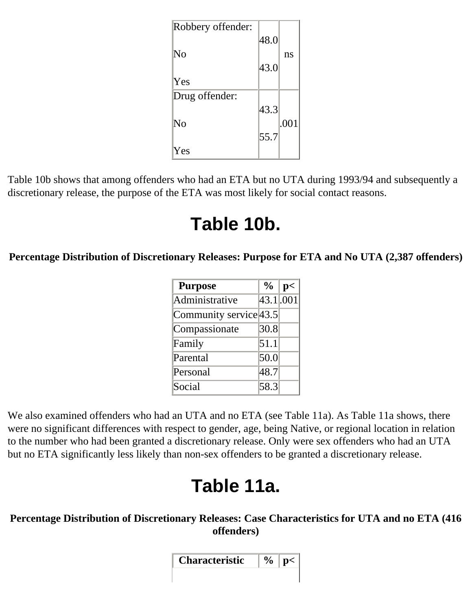| Robbery offender: |      |      |
|-------------------|------|------|
|                   | 48.0 |      |
| $\rm No$          |      | ns   |
|                   | 43.0 |      |
| Yes               |      |      |
| Drug offender:    |      |      |
|                   | 43.3 |      |
| No                |      | .001 |
|                   | 55.7 |      |
| Yes               |      |      |

Table 10b shows that among offenders who had an ETA but no UTA during 1993/94 and subsequently a discretionary release, the purpose of the ETA was most likely for social contact reasons.

## **Table 10b.**

**Percentage Distribution of Discretionary Releases: Purpose for ETA and No UTA (2,387 offenders)** 

| <b>Purpose</b>         | $\frac{6}{10}$ | p<        |
|------------------------|----------------|-----------|
| Administrative         |                | 43.1 .001 |
| Community service 43.5 |                |           |
| Compassionate          | 30.8           |           |
| Family                 | 51.1           |           |
| Parental               | 50.0           |           |
| Personal               | 48.7           |           |
| Social                 | 58.3           |           |

We also examined offenders who had an UTA and no ETA (see Table 11a). As Table 11a shows, there were no significant differences with respect to gender, age, being Native, or regional location in relation to the number who had been granted a discretionary release. Only were sex offenders who had an UTA but no ETA significantly less likely than non-sex offenders to be granted a discretionary release.

# **Table 11a.**

### **Percentage Distribution of Discretionary Releases: Case Characteristics for UTA and no ETA (416 offenders)**

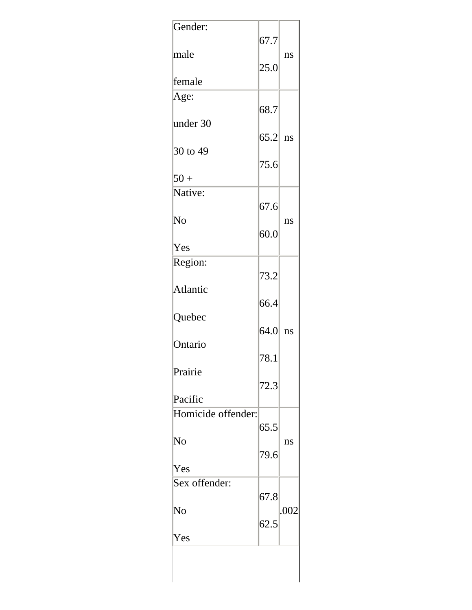| Gender:            | 67.7      |      |
|--------------------|-----------|------|
| male               | 25.0      | ns   |
| lfemale            |           |      |
| Age:               |           |      |
| under 30           | 68.7      |      |
|                    | $65.2$ ns |      |
| 30 to 49           |           |      |
| $50+$              | 75.6      |      |
| Native:            |           |      |
|                    | 67.6      |      |
| $\rm No$           | 60.0      | ns   |
| Yes                |           |      |
| Region:            |           |      |
|                    | 73.2      |      |
| Atlantic           |           |      |
| Quebec             | 66.4      |      |
|                    | $64.0$ ns |      |
| Ontario            |           |      |
| Prairie            | 78.1      |      |
|                    | 72.3      |      |
| Pacific            |           |      |
| Homicide offender: |           |      |
|                    | 65.5      |      |
| No                 | 79.6      | ns   |
| Yes                |           |      |
| Sex offender:      |           |      |
|                    | 67.8      |      |
| No                 | 62.5      | .002 |
| Yes                |           |      |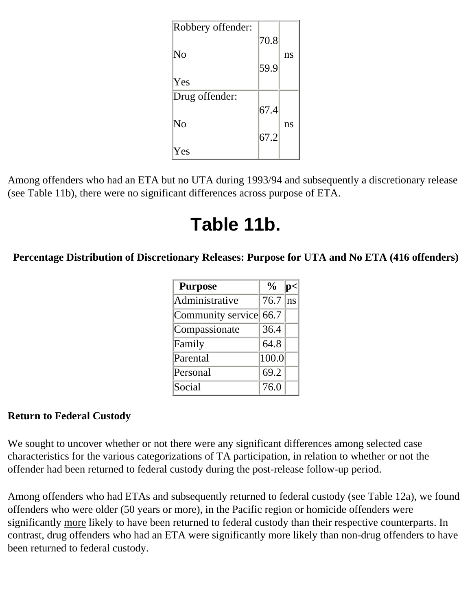| Robbery offender: |      |    |
|-------------------|------|----|
|                   | 70.8 |    |
| No                |      | ns |
|                   | 59.9 |    |
| Yes               |      |    |
| Drug offender:    |      |    |
|                   | 67.4 |    |
| $\rm No$          |      | ns |
|                   | 67.2 |    |
| Yes               |      |    |

Among offenders who had an ETA but no UTA during 1993/94 and subsequently a discretionary release (see Table 11b), there were no significant differences across purpose of ETA.

## **Table 11b.**

**Percentage Distribution of Discretionary Releases: Purpose for UTA and No ETA (416 offenders)** 

| <b>Purpose</b>         | $\frac{6}{9}$ | D. |
|------------------------|---------------|----|
| Administrative         | 76.7          | ns |
| Community service 66.7 |               |    |
| Compassionate          | 36.4          |    |
| Family                 | 64.8          |    |
| Parental               | 100.0         |    |
| Personal               | 69.2          |    |
| Social                 | 76.0          |    |

### <span id="page-28-0"></span>**Return to Federal Custody**

We sought to uncover whether or not there were any significant differences among selected case characteristics for the various categorizations of TA participation, in relation to whether or not the offender had been returned to federal custody during the post-release follow-up period.

Among offenders who had ETAs and subsequently returned to federal custody (see Table 12a), we found offenders who were older (50 years or more), in the Pacific region or homicide offenders were significantly more likely to have been returned to federal custody than their respective counterparts. In contrast, drug offenders who had an ETA were significantly more likely than non-drug offenders to have been returned to federal custody.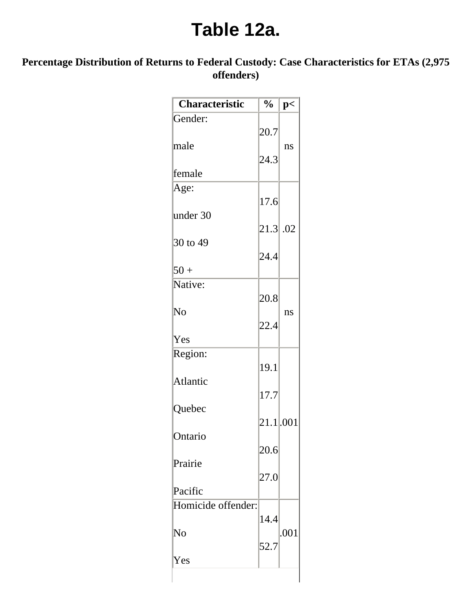### **Table 12a.**

### **Percentage Distribution of Returns to Federal Custody: Case Characteristics for ETAs (2,975 offenders)**

| Characteristic     | $\frac{1}{2}$ | p<   |
|--------------------|---------------|------|
| Gender:            |               |      |
| male               | 20.7          | ns   |
| female             | 24.3          |      |
| Age:               |               |      |
| under 30           | 17.6          |      |
|                    | $21.3$ .02    |      |
| 30 to 49           | 24.4          |      |
| $50+$              |               |      |
| Native:            |               |      |
|                    | 20.8          |      |
| No                 | 22.4          | ns   |
| Yes                |               |      |
| Region:            |               |      |
|                    | 19.1          |      |
| Atlantic           | 17.7          |      |
| Quebec             |               |      |
|                    | 21.1.001      |      |
| Ontario            |               |      |
|                    | 20.6          |      |
| Prairie            |               |      |
| Pacific            | 27.0          |      |
| Homicide offender: |               |      |
|                    | 14.4          |      |
| No                 |               | .001 |
|                    | 52.7          |      |
| Yes                |               |      |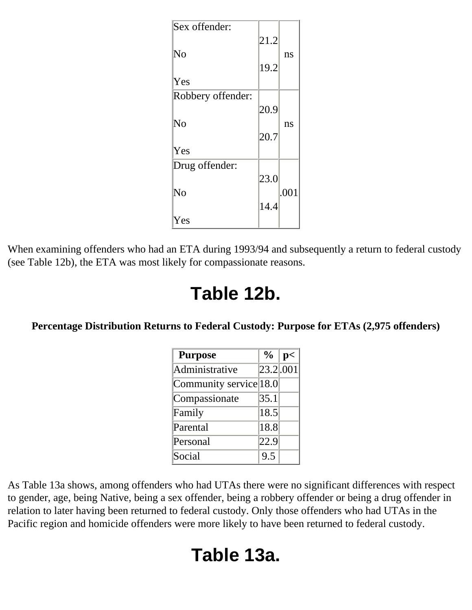| Sex offender:     |      |      |
|-------------------|------|------|
|                   | 21.2 |      |
| $\rm No$          | 19.2 | ns   |
| Yes               |      |      |
| Robbery offender: |      |      |
|                   | 20.9 |      |
| $\rm No$          |      | ns   |
|                   | 20.7 |      |
| Yes               |      |      |
| Drug offender:    |      |      |
|                   | 23.0 |      |
| No                |      | .001 |
|                   | 14.4 |      |
| Yes               |      |      |

When examining offenders who had an ETA during 1993/94 and subsequently a return to federal custody (see Table 12b), the ETA was most likely for compassionate reasons.

### **Table 12b.**

#### **Percentage Distribution Returns to Federal Custody: Purpose for ETAs (2,975 offenders)**

| <b>Purpose</b>         | $\frac{0}{0}$ | p<        |
|------------------------|---------------|-----------|
| Administrative         |               | 23.2 .001 |
| Community service 18.0 |               |           |
| Compassionate          | 35.1          |           |
| Family                 | 18.5          |           |
| Parental               | 18.8          |           |
| Personal               | 22.9          |           |
| Social                 | 9.5           |           |

As Table 13a shows, among offenders who had UTAs there were no significant differences with respect to gender, age, being Native, being a sex offender, being a robbery offender or being a drug offender in relation to later having been returned to federal custody. Only those offenders who had UTAs in the Pacific region and homicide offenders were more likely to have been returned to federal custody.

## **Table 13a.**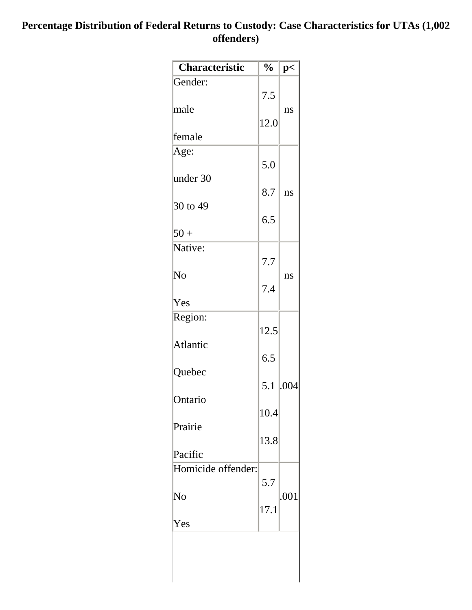### **Percentage Distribution of Federal Returns to Custody: Case Characteristics for UTAs (1,002 offenders)**

| <b>Characteristic</b> | $\frac{0}{0}$ | p<   |
|-----------------------|---------------|------|
| Gender:               |               |      |
|                       | 7.5           |      |
| male                  |               | ns   |
|                       | 12.0          |      |
| lfemale               |               |      |
| Age:                  |               |      |
|                       | 5.0           |      |
| under 30              |               |      |
|                       | 8.7           | ns   |
| 30 to 49              | 6.5           |      |
| $50+$                 |               |      |
| Native:               |               |      |
|                       | 7.7           |      |
| No                    |               | ns   |
|                       | 7.4           |      |
| Yes                   |               |      |
| Region:               |               |      |
|                       | 12.5          |      |
| Atlantic              |               |      |
|                       | 6.5           |      |
| Quebec                |               |      |
|                       | 5.1           | .004 |
| Ontario               |               |      |
|                       | 10.4          |      |
| Prairie               | 13.8          |      |
| Pacific               |               |      |
| Homicide offender:    |               |      |
|                       | 5.7           |      |
| No                    |               | .001 |
|                       | 17.1          |      |
| Yes                   |               |      |
|                       |               |      |
|                       |               |      |
|                       |               |      |
|                       |               |      |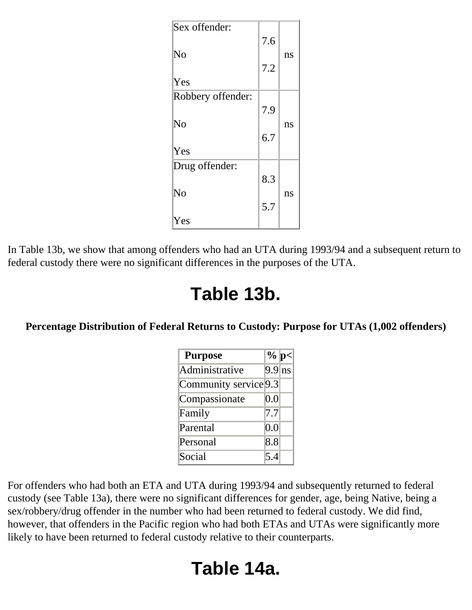| Sex offender:     | 7.6 |    |
|-------------------|-----|----|
| $\rm No$          | 7.2 | ns |
| Yes               |     |    |
| Robbery offender: |     |    |
|                   | 7.9 |    |
| No                |     | ns |
|                   | 6.7 |    |
| Yes               |     |    |
| Drug offender:    |     |    |
|                   | 8.3 |    |
| No                |     | ns |
|                   | 5.7 |    |
| Yes               |     |    |

In Table 13b, we show that among offenders who had an UTA during 1993/94 and a subsequent return to federal custody there were no significant differences in the purposes of the UTA.

### **Table 13b.**

### **Percentage Distribution of Federal Returns to Custody: Purpose for UTAs (1,002 offenders)**

| <b>Purpose</b>        | $\%$ p<         |  |
|-----------------------|-----------------|--|
| Administrative        | $9.9 \text{ns}$ |  |
| Community service 9.3 |                 |  |
| Compassionate         | 0.0             |  |
| Family                | 17.7            |  |
| Parental              | 0.0             |  |
| Personal              | 8.8             |  |
| Social                | 5.4             |  |

For offenders who had both an ETA and UTA during 1993/94 and subsequently returned to federal custody (see Table 13a), there were no significant differences for gender, age, being Native, being a sex/robbery/drug offender in the number who had been returned to federal custody. We did find, however, that offenders in the Pacific region who had both ETAs and UTAs were significantly more likely to have been returned to federal custody relative to their counterparts.

## **Table 14a.**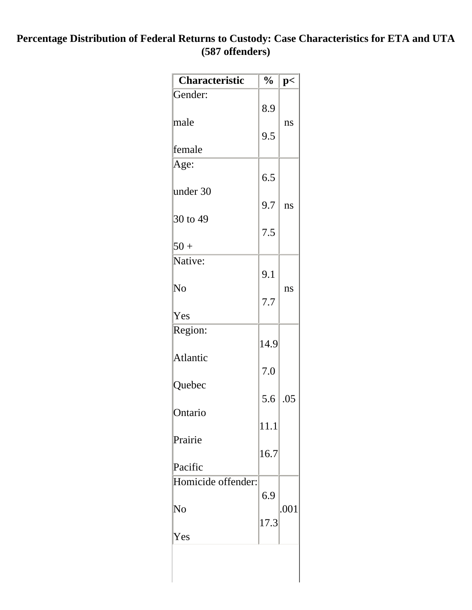#### **Percentage Distribution of Federal Returns to Custody: Case Characteristics for ETA and UTA (587 offenders)**

| Characteristic     | $\frac{1}{2}$ | p<   |
|--------------------|---------------|------|
| Gender:            |               |      |
|                    | 8.9           |      |
| male               |               | ns   |
|                    | 9.5           |      |
| female             |               |      |
| Age:               |               |      |
|                    | 6.5           |      |
| under 30           |               |      |
|                    | 9.7           | ns   |
| 30 to 49           |               |      |
|                    | 7.5           |      |
| $50 +$             |               |      |
| Native:            |               |      |
|                    | 9.1           |      |
| No                 |               | ns   |
|                    | 7.7           |      |
| Yes                |               |      |
| Region:            |               |      |
|                    | 14.9          |      |
| Atlantic           |               |      |
|                    | 7.0           |      |
| Quebec             |               |      |
|                    | 5.6           | .05  |
| Ontario            |               |      |
|                    | 11.1          |      |
| Prairie            |               |      |
|                    | 16.7          |      |
| Pacific            |               |      |
| Homicide offender: |               |      |
|                    | 6.9           |      |
| No                 |               | .001 |
|                    | 17.3          |      |
| Yes                |               |      |
|                    |               |      |
|                    |               |      |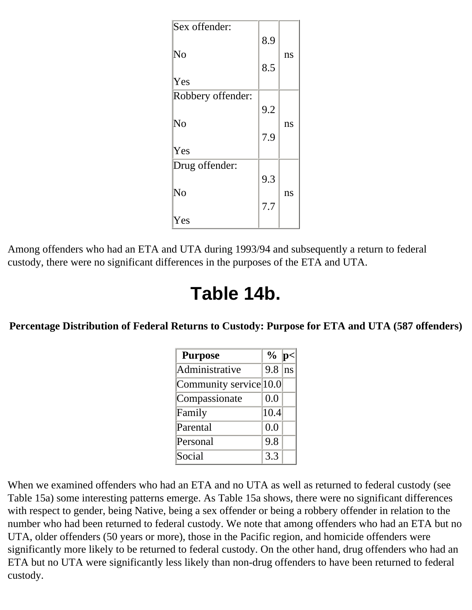| Sex offender:     | 8.9 |    |
|-------------------|-----|----|
| No                | 8.5 | ns |
| Yes               |     |    |
| Robbery offender: |     |    |
|                   | 9.2 |    |
| $\rm No$          |     | ns |
|                   | 7.9 |    |
| Yes               |     |    |
| Drug offender:    |     |    |
|                   | 9.3 |    |
| No                |     | ns |
|                   | 7.7 |    |
| Yes               |     |    |

Among offenders who had an ETA and UTA during 1993/94 and subsequently a return to federal custody, there were no significant differences in the purposes of the ETA and UTA.

### **Table 14b.**

**Percentage Distribution of Federal Returns to Custody: Purpose for ETA and UTA (587 offenders)** 

| <b>Purpose</b>         | $\frac{0}{0}$ | $ {\bf p}$ |
|------------------------|---------------|------------|
| Administrative         | 9.8           | ns         |
| Community service 10.0 |               |            |
| Compassionate          | 0.0           |            |
| Family                 | 10.4          |            |
| Parental               | 0.0           |            |
| Personal               | 9.8           |            |
| Social                 | 3.3           |            |

When we examined offenders who had an ETA and no UTA as well as returned to federal custody (see Table 15a) some interesting patterns emerge. As Table 15a shows, there were no significant differences with respect to gender, being Native, being a sex offender or being a robbery offender in relation to the number who had been returned to federal custody. We note that among offenders who had an ETA but no UTA, older offenders (50 years or more), those in the Pacific region, and homicide offenders were significantly more likely to be returned to federal custody. On the other hand, drug offenders who had an ETA but no UTA were significantly less likely than non-drug offenders to have been returned to federal custody.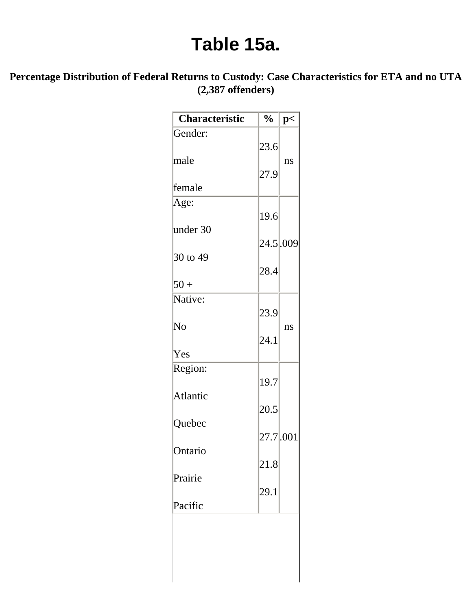### **Table 15a.**

### **Percentage Distribution of Federal Returns to Custody: Case Characteristics for ETA and no UTA (2,387 offenders)**

| <b>Characteristic</b> | $\frac{0}{0}$ | p< |
|-----------------------|---------------|----|
| Gender:               |               |    |
|                       | 23.6          |    |
| male                  |               | ns |
| lfemale               | 27.9          |    |
|                       |               |    |
| Age:                  | 19.6          |    |
| under 30              |               |    |
|                       | 24.5 .009     |    |
| 30 to 49              |               |    |
|                       | 28.4          |    |
| $50 +$                |               |    |
| Native:               |               |    |
|                       | 23.9          |    |
| $\rm No$              | 24.1          | ns |
| Yes                   |               |    |
| Region:               |               |    |
|                       | 19.7          |    |
| Atlantic              |               |    |
|                       | 20.5          |    |
| Quebec                |               |    |
|                       | 27.7.001      |    |
| Ontario               |               |    |
|                       | 21.8          |    |
| Prairie               |               |    |
| Pacific               | 29.1          |    |
|                       |               |    |
|                       |               |    |
|                       |               |    |
|                       |               |    |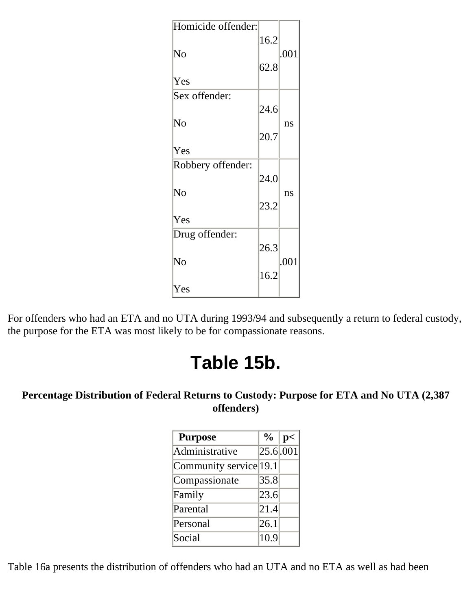| Homicide offender:     |      |      |
|------------------------|------|------|
|                        | 16.2 |      |
| No                     |      | .001 |
|                        | 62.8 |      |
| Yes                    |      |      |
| Sex offender:          |      |      |
|                        | 24.6 |      |
| No                     |      | ns   |
|                        | 20.7 |      |
| Yes                    |      |      |
| Robbery offender:      |      |      |
|                        | 24.0 |      |
| No                     |      | ns   |
|                        | 23.2 |      |
| Yes                    |      |      |
| Drug offender:         |      |      |
|                        | 26.3 |      |
| $\overline{\text{No}}$ |      | .001 |
|                        | 16.2 |      |
| Yes                    |      |      |
|                        |      |      |

For offenders who had an ETA and no UTA during 1993/94 and subsequently a return to federal custody, the purpose for the ETA was most likely to be for compassionate reasons.

## **Table 15b.**

### **Percentage Distribution of Federal Returns to Custody: Purpose for ETA and No UTA (2,387 offenders)**

| <b>Purpose</b>         | $\%$ | p<                      |
|------------------------|------|-------------------------|
| Administrative         |      | $25.6 \overline{0.001}$ |
| Community service 19.1 |      |                         |
| Compassionate          | 35.8 |                         |
| Family                 | 23.6 |                         |
| Parental               | 21.4 |                         |
| Personal               | 26.1 |                         |
| Social                 | 10.9 |                         |

Table 16a presents the distribution of offenders who had an UTA and no ETA as well as had been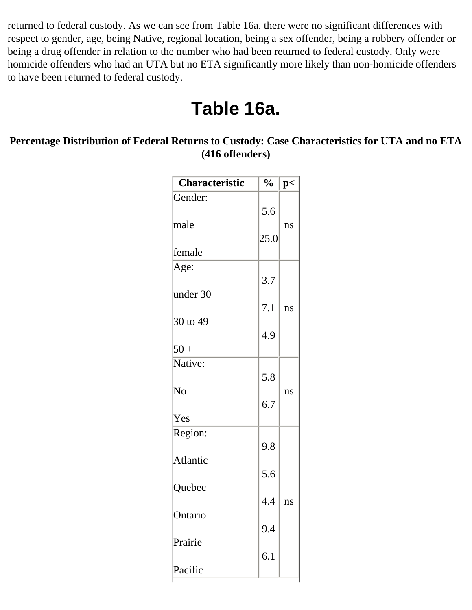returned to federal custody. As we can see from Table 16a, there were no significant differences with respect to gender, age, being Native, regional location, being a sex offender, being a robbery offender or being a drug offender in relation to the number who had been returned to federal custody. Only were homicide offenders who had an UTA but no ETA significantly more likely than non-homicide offenders to have been returned to federal custody.

### **Table 16a.**

#### **Percentage Distribution of Federal Returns to Custody: Case Characteristics for UTA and no ETA (416 offenders)**

| Characteristic | $\frac{0}{0}$ | p< |
|----------------|---------------|----|
| Gender:        |               |    |
|                | 5.6           |    |
| male           | 25.0          | ns |
| lfemale        |               |    |
| Age:           |               |    |
|                | 3.7           |    |
| under 30       |               |    |
| 30 to 49       | 7.1           | ns |
|                | 4.9           |    |
| $50+$          |               |    |
| Native:        |               |    |
|                | 5.8           |    |
| No             | 6.7           | ns |
| Yes            |               |    |
| Region:        |               |    |
|                | 9.8           |    |
| Atlantic       |               |    |
| Quebec         | 5.6           |    |
|                | 4.4           | ns |
| Ontario        |               |    |
|                | 9.4           |    |
| Prairie        |               |    |
| Pacific        | 6.1           |    |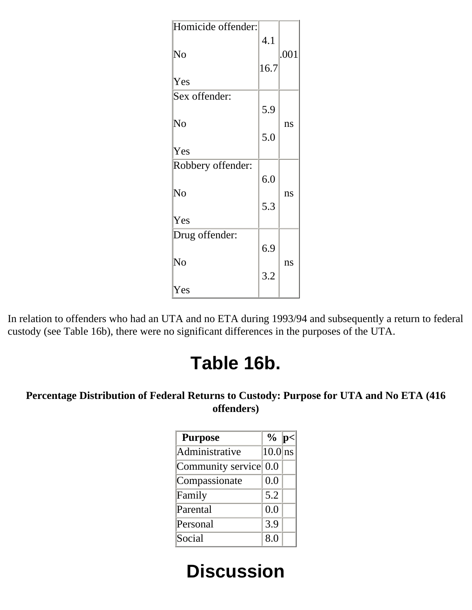| 4.1  |      |
|------|------|
|      | .001 |
| 16.7 |      |
|      |      |
|      |      |
| 5.9  |      |
|      | ns   |
| 5.0  |      |
|      |      |
|      |      |
| 6.0  |      |
|      | ns   |
| 5.3  |      |
|      |      |
|      |      |
| 6.9  |      |
|      | ns   |
| 3.2  |      |
|      |      |
|      |      |

In relation to offenders who had an UTA and no ETA during 1993/94 and subsequently a return to federal custody (see Table 16b), there were no significant differences in the purposes of the UTA.

## **Table 16b.**

### <span id="page-38-0"></span>**Percentage Distribution of Federal Returns to Custody: Purpose for UTA and No ETA (416 offenders)**

| <b>Purpose</b>        | $\frac{1}{2}$ | In |
|-----------------------|---------------|----|
| Administrative        | $10.0$ ns     |    |
| Community service 0.0 |               |    |
| Compassionate         | 0.0           |    |
| Family                | 5.2           |    |
| Parental              | 0.0           |    |
| Personal              | 3.9           |    |
| Social                | 8.0           |    |

# **Discussion**